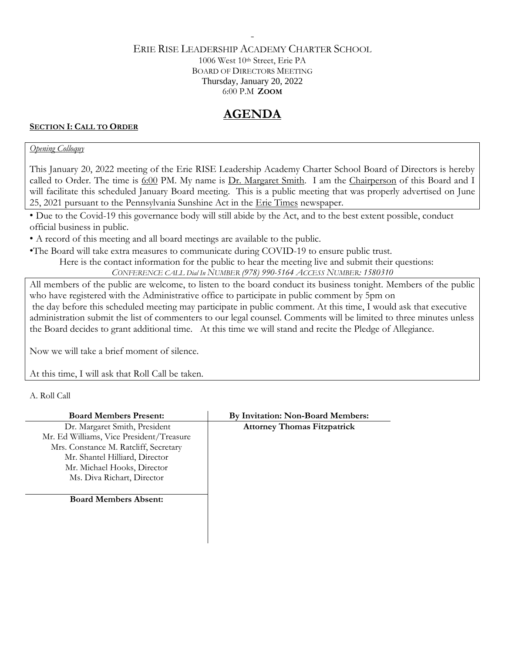#### ERIE RISE LEADERSHIP ACADEMY CHARTER SCHOOL 1006 West 10th Street, Erie PA BOARD OF DIRECTORS MEETING Thursday, January 20, 2022 6:00 P.M **ZOOM**

-

## **AGENDA**

#### **SECTION I: CALL TO ORDER**

#### *Opening Colloquy*

This January 20, 2022 meeting of the Erie RISE Leadership Academy Charter School Board of Directors is hereby called to Order. The time is 6:00 PM. My name is Dr. Margaret Smith. I am the Chairperson of this Board and I will facilitate this scheduled January Board meeting. This is a public meeting that was properly advertised on June 25, 2021 pursuant to the Pennsylvania Sunshine Act in the Erie Times newspaper.

• Due to the Covid-19 this governance body will still abide by the Act, and to the best extent possible, conduct official business in public.

• A record of this meeting and all board meetings are available to the public.

•The Board will take extra measures to communicate during COVID-19 to ensure public trust.

Here is the contact information for the public to hear the meeting live and submit their questions: *CONFERENCE CALL Dial In NUMBER (978) 990-5164 ACCESS NUMBER: 1580310*

All members of the public are welcome, to listen to the board conduct its business tonight. Members of the public

who have registered with the Administrative office to participate in public comment by 5pm on the day before this scheduled meeting may participate in public comment. At this time, I would ask that executive administration submit the list of commenters to our legal counsel. Comments will be limited to three minutes unless the Board decides to grant additional time. At this time we will stand and recite the Pledge of Allegiance.

Now we will take a brief moment of silence.

At this time, I will ask that Roll Call be taken.

A. Roll Call

| <b>Board Members Present:</b>            | By Invitation: Non-Board Members:  |
|------------------------------------------|------------------------------------|
| Dr. Margaret Smith, President            | <b>Attorney Thomas Fitzpatrick</b> |
| Mr. Ed Williams, Vice President/Treasure |                                    |
| Mrs. Constance M. Ratcliff, Secretary    |                                    |
| Mr. Shantel Hilliard, Director           |                                    |
| Mr. Michael Hooks, Director              |                                    |
| Ms. Diva Richart, Director               |                                    |
| <b>Board Members Absent:</b>             |                                    |
|                                          |                                    |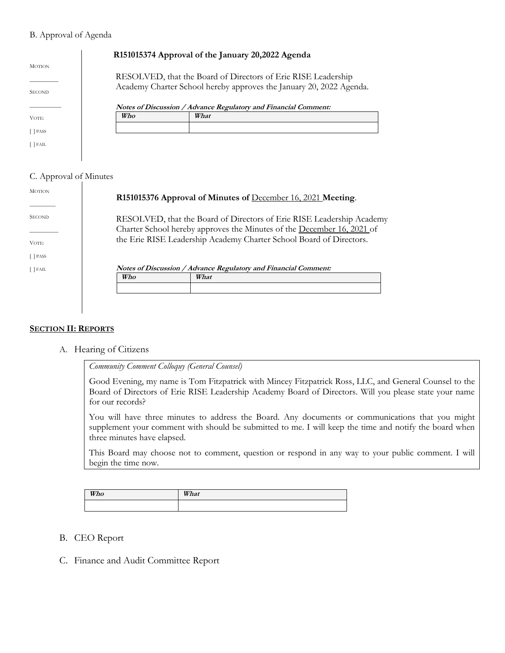#### B. Approval of Agenda

|                                |     | R151015374 Approval of the January 20,2022 Agenda                                                                                    |
|--------------------------------|-----|--------------------------------------------------------------------------------------------------------------------------------------|
| <b>MOTION</b><br><b>SECOND</b> |     | RESOLVED, that the Board of Directors of Erie RISE Leadership<br>Academy Charter School hereby approves the January 20, 2022 Agenda. |
|                                |     | Notes of Discussion / Advance Regulatory and Financial Comment:                                                                      |
| VOTE:                          | Who | What                                                                                                                                 |
| [ ] PASS                       |     |                                                                                                                                      |
| [ ] FAIL                       |     |                                                                                                                                      |
|                                |     |                                                                                                                                      |

#### C. Approval of Minutes

| <b>MOTION</b> | R151015376 Approval of Minutes of December 16, 2021 Meeting.                                                                                    |  |
|---------------|-------------------------------------------------------------------------------------------------------------------------------------------------|--|
| <b>SECOND</b> | RESOLVED, that the Board of Directors of Erie RISE Leadership Academy<br>Charter School hereby approves the Minutes of the December 16, 2021 of |  |
| VOTE:         | the Erie RISE Leadership Academy Charter School Board of Directors.                                                                             |  |
| $\lceil$ PASS |                                                                                                                                                 |  |
| $\lceil$ FAIL | Notes of Discussion / Advance Regulatory and Financial Comment:                                                                                 |  |
|               | Who<br>What                                                                                                                                     |  |
|               |                                                                                                                                                 |  |
|               |                                                                                                                                                 |  |

#### **SECTION II: REPORTS**

A. Hearing of Citizens

*Community Comment Colloquy (General Counsel)*

Good Evening, my name is Tom Fitzpatrick with Mincey Fitzpatrick Ross, LLC, and General Counsel to the Board of Directors of Erie RISE Leadership Academy Board of Directors. Will you please state your name for our records?

You will have three minutes to address the Board. Any documents or communications that you might supplement your comment with should be submitted to me. I will keep the time and notify the board when three minutes have elapsed.

This Board may choose not to comment, question or respond in any way to your public comment. I will begin the time now.

| Who | What |
|-----|------|
|     |      |

- B. CEO Report
- C. Finance and Audit Committee Report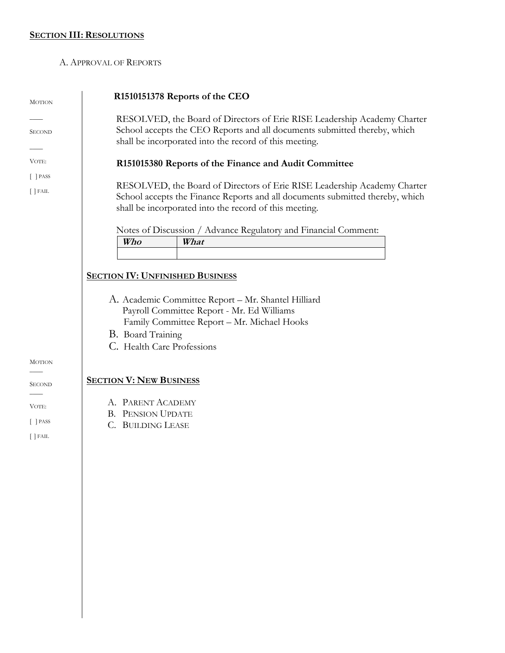#### **SECTION III: RESOLUTIONS**

#### A. APPROVAL OF REPORTS

| <b>MOTION</b>               | R1510151378 Reports of the CEO                                                                                                                                                                                      |  |  |
|-----------------------------|---------------------------------------------------------------------------------------------------------------------------------------------------------------------------------------------------------------------|--|--|
| <b>SECOND</b>               | RESOLVED, the Board of Directors of Erie RISE Leadership Academy Charter<br>School accepts the CEO Reports and all documents submitted thereby, which<br>shall be incorporated into the record of this meeting.     |  |  |
| VOTE:                       | R151015380 Reports of the Finance and Audit Committee                                                                                                                                                               |  |  |
| $[$ PASS<br>$\lceil$   FAIL | RESOLVED, the Board of Directors of Erie RISE Leadership Academy Charter<br>School accepts the Finance Reports and all documents submitted thereby, which<br>shall be incorporated into the record of this meeting. |  |  |
|                             | Notes of Discussion / Advance Regulatory and Financial Comment:<br>Who<br>What                                                                                                                                      |  |  |
|                             |                                                                                                                                                                                                                     |  |  |
|                             | <b>SECTION IV: UNFINISHED BUSINESS</b>                                                                                                                                                                              |  |  |
|                             | A. Academic Committee Report - Mr. Shantel Hilliard<br>Payroll Committee Report - Mr. Ed Williams<br>Family Committee Report - Mr. Michael Hooks<br>B. Board Training<br>C. Health Care Professions                 |  |  |
| <b>MOTION</b>               |                                                                                                                                                                                                                     |  |  |
| <b>SECOND</b>               | <b>SECTION V: NEW BUSINESS</b>                                                                                                                                                                                      |  |  |
| VOTE:                       | A. PARENT ACADEMY                                                                                                                                                                                                   |  |  |
| $\lceil$ PASS               | <b>B. PENSION UPDATE</b><br>C. BUILDING LEASE                                                                                                                                                                       |  |  |
| $[$ $]$ FAIL                |                                                                                                                                                                                                                     |  |  |
|                             |                                                                                                                                                                                                                     |  |  |